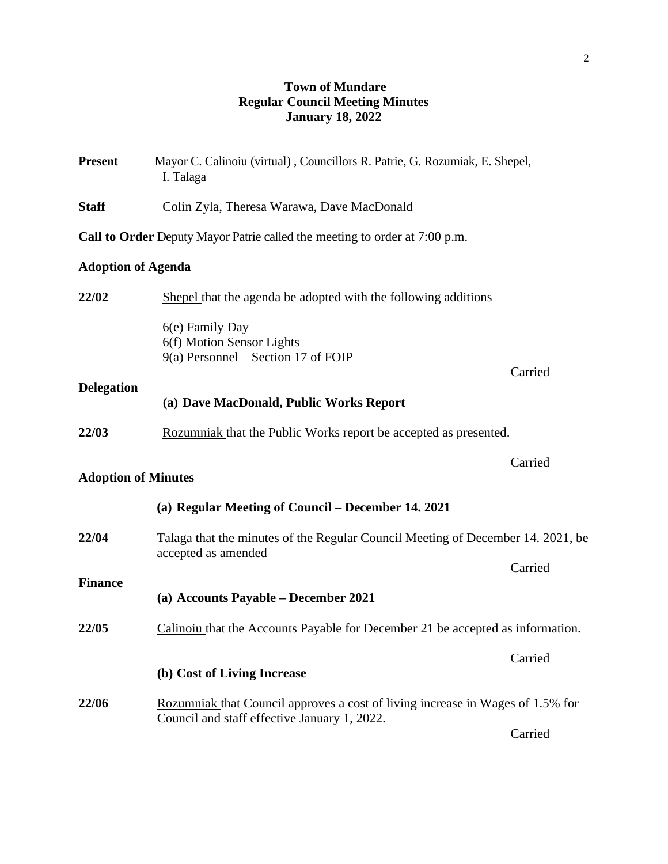# **Town of Mundare Regular Council Meeting Minutes January 18, 2022**

| <b>Present</b>             | Mayor C. Calinoiu (virtual), Councillors R. Patrie, G. Rozumiak, E. Shepel,<br>I. Talaga                                       |         |  |
|----------------------------|--------------------------------------------------------------------------------------------------------------------------------|---------|--|
| <b>Staff</b>               | Colin Zyla, Theresa Warawa, Dave MacDonald                                                                                     |         |  |
|                            | Call to Order Deputy Mayor Patrie called the meeting to order at 7:00 p.m.                                                     |         |  |
| <b>Adoption of Agenda</b>  |                                                                                                                                |         |  |
| 22/02                      | Shepel that the agenda be adopted with the following additions                                                                 |         |  |
|                            | 6(e) Family Day<br>6(f) Motion Sensor Lights<br>$9(a)$ Personnel – Section 17 of FOIP                                          | Carried |  |
| <b>Delegation</b>          | (a) Dave MacDonald, Public Works Report                                                                                        |         |  |
| 22/03                      | Rozumniak that the Public Works report be accepted as presented.                                                               |         |  |
| <b>Adoption of Minutes</b> |                                                                                                                                | Carried |  |
|                            | (a) Regular Meeting of Council – December 14. 2021                                                                             |         |  |
| 22/04                      | Talaga that the minutes of the Regular Council Meeting of December 14. 2021, be<br>accepted as amended                         |         |  |
| <b>Finance</b>             |                                                                                                                                | Carried |  |
|                            | (a) Accounts Payable - December 2021                                                                                           |         |  |
| 22/05                      | Calinoiu that the Accounts Payable for December 21 be accepted as information.                                                 |         |  |
|                            | (b) Cost of Living Increase                                                                                                    | Carried |  |
| 22/06                      | Rozumniak that Council approves a cost of living increase in Wages of 1.5% for<br>Council and staff effective January 1, 2022. |         |  |
|                            |                                                                                                                                | Carried |  |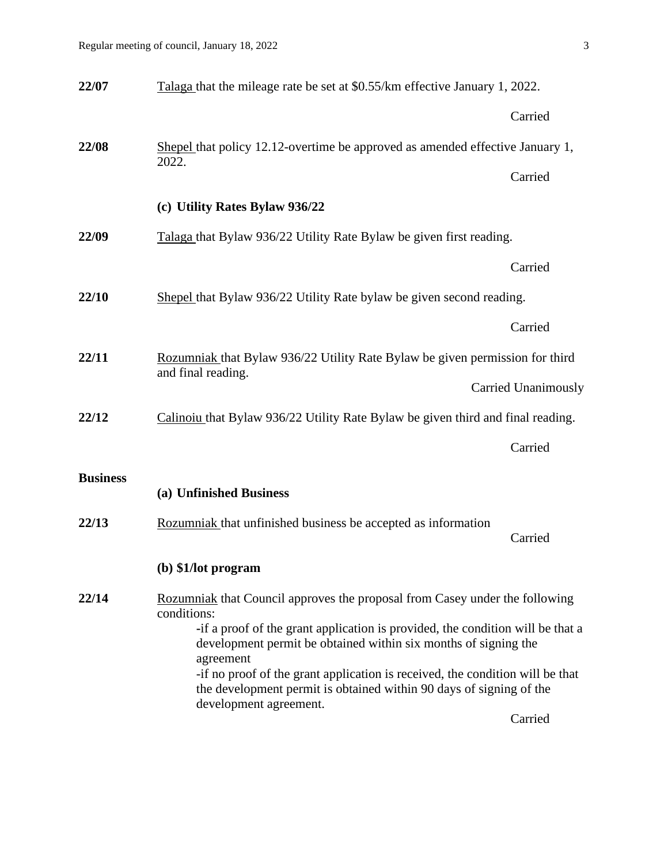| 22/07           | Talaga that the mileage rate be set at \$0.55/km effective January 1, 2022.                                                                                                                                                                                                                                                                      |                            |  |
|-----------------|--------------------------------------------------------------------------------------------------------------------------------------------------------------------------------------------------------------------------------------------------------------------------------------------------------------------------------------------------|----------------------------|--|
|                 |                                                                                                                                                                                                                                                                                                                                                  | Carried                    |  |
| 22/08           | Shepel that policy 12.12-overtime be approved as amended effective January 1,<br>2022.                                                                                                                                                                                                                                                           |                            |  |
|                 |                                                                                                                                                                                                                                                                                                                                                  | Carried                    |  |
|                 | (c) Utility Rates Bylaw 936/22                                                                                                                                                                                                                                                                                                                   |                            |  |
| 22/09           | Talaga that Bylaw 936/22 Utility Rate Bylaw be given first reading.                                                                                                                                                                                                                                                                              |                            |  |
|                 |                                                                                                                                                                                                                                                                                                                                                  | Carried                    |  |
| 22/10           | Shepel that Bylaw 936/22 Utility Rate bylaw be given second reading.                                                                                                                                                                                                                                                                             |                            |  |
|                 |                                                                                                                                                                                                                                                                                                                                                  | Carried                    |  |
| 22/11           | Rozumniak that Bylaw 936/22 Utility Rate Bylaw be given permission for third<br>and final reading.                                                                                                                                                                                                                                               |                            |  |
|                 |                                                                                                                                                                                                                                                                                                                                                  | <b>Carried Unanimously</b> |  |
| 22/12           | Calinoiu that Bylaw 936/22 Utility Rate Bylaw be given third and final reading.                                                                                                                                                                                                                                                                  |                            |  |
|                 |                                                                                                                                                                                                                                                                                                                                                  | Carried                    |  |
| <b>Business</b> | (a) Unfinished Business                                                                                                                                                                                                                                                                                                                          |                            |  |
| 22/13           | Rozumniak that unfinished business be accepted as information                                                                                                                                                                                                                                                                                    | Carried                    |  |
|                 | (b) \$1/lot program                                                                                                                                                                                                                                                                                                                              |                            |  |
| 22/14           | Rozumniak that Council approves the proposal from Casey under the following<br>conditions:                                                                                                                                                                                                                                                       |                            |  |
|                 | -if a proof of the grant application is provided, the condition will be that a<br>development permit be obtained within six months of signing the<br>agreement<br>-if no proof of the grant application is received, the condition will be that<br>the development permit is obtained within 90 days of signing of the<br>development agreement. |                            |  |
|                 |                                                                                                                                                                                                                                                                                                                                                  |                            |  |
|                 |                                                                                                                                                                                                                                                                                                                                                  | Carried                    |  |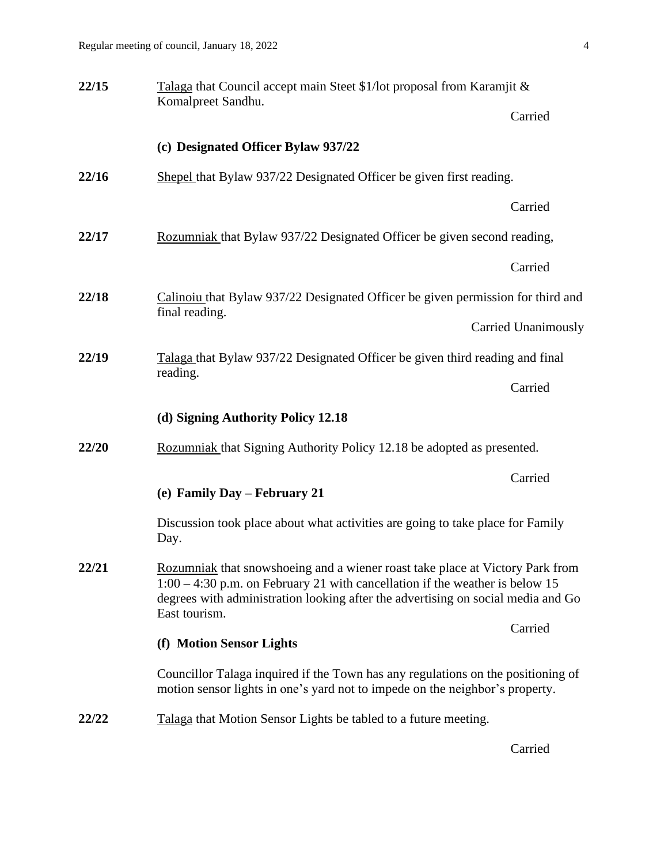| 22/15 | Talaga that Council accept main Steet \$1/lot proposal from Karamjit &                                                                                                                                                                                               |                            |  |
|-------|----------------------------------------------------------------------------------------------------------------------------------------------------------------------------------------------------------------------------------------------------------------------|----------------------------|--|
|       | Komalpreet Sandhu.                                                                                                                                                                                                                                                   | Carried                    |  |
|       | (c) Designated Officer Bylaw 937/22                                                                                                                                                                                                                                  |                            |  |
| 22/16 | Shepel that Bylaw 937/22 Designated Officer be given first reading.                                                                                                                                                                                                  |                            |  |
|       |                                                                                                                                                                                                                                                                      | Carried                    |  |
| 22/17 | Rozumniak that Bylaw 937/22 Designated Officer be given second reading,                                                                                                                                                                                              |                            |  |
|       |                                                                                                                                                                                                                                                                      | Carried                    |  |
| 22/18 | Calinoiu that Bylaw 937/22 Designated Officer be given permission for third and                                                                                                                                                                                      |                            |  |
|       | final reading.                                                                                                                                                                                                                                                       | <b>Carried Unanimously</b> |  |
| 22/19 | Talaga that Bylaw 937/22 Designated Officer be given third reading and final                                                                                                                                                                                         |                            |  |
|       | reading.                                                                                                                                                                                                                                                             | Carried                    |  |
|       | (d) Signing Authority Policy 12.18                                                                                                                                                                                                                                   |                            |  |
| 22/20 | Rozumniak that Signing Authority Policy 12.18 be adopted as presented.                                                                                                                                                                                               |                            |  |
|       | (e) Family Day - February 21                                                                                                                                                                                                                                         | Carried                    |  |
|       | Discussion took place about what activities are going to take place for Family<br>Day.                                                                                                                                                                               |                            |  |
| 22/21 | Rozumniak that snowshoeing and a wiener roast take place at Victory Park from<br>$1:00 - 4:30$ p.m. on February 21 with cancellation if the weather is below 15<br>degrees with administration looking after the advertising on social media and Go<br>East tourism. |                            |  |
|       | (f) Motion Sensor Lights                                                                                                                                                                                                                                             | Carried                    |  |
|       |                                                                                                                                                                                                                                                                      |                            |  |
|       | Councillor Talaga inquired if the Town has any regulations on the positioning of<br>motion sensor lights in one's yard not to impede on the neighbor's property.                                                                                                     |                            |  |
| 22/22 | Talaga that Motion Sensor Lights be tabled to a future meeting.                                                                                                                                                                                                      |                            |  |
|       |                                                                                                                                                                                                                                                                      | Carried                    |  |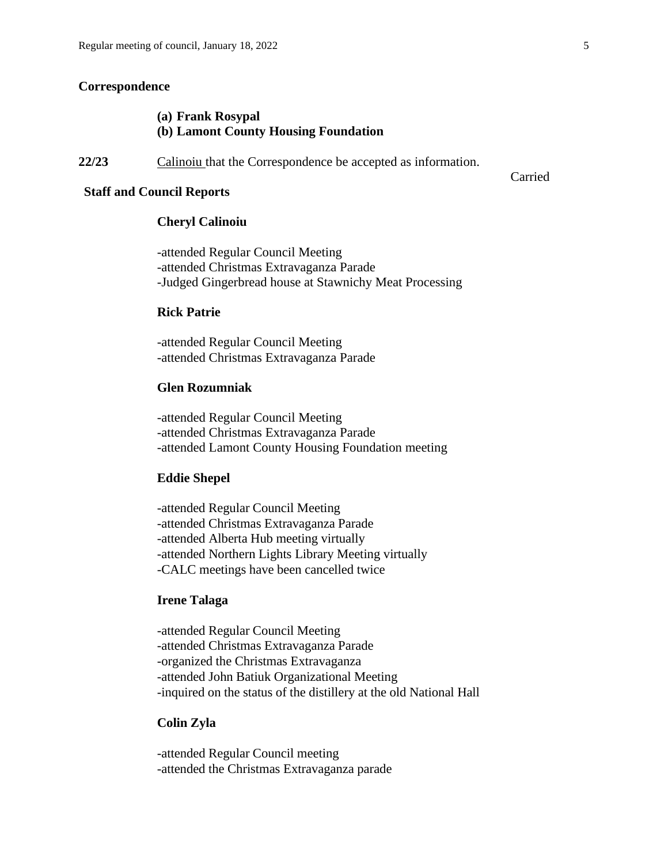## **Correspondence**

## **(a) Frank Rosypal (b) Lamont County Housing Foundation**

22/23 Calinoiu that the Correspondence be accepted as information.

#### **Staff and Council Reports**

## **Cheryl Calinoiu**

-attended Regular Council Meeting -attended Christmas Extravaganza Parade -Judged Gingerbread house at Stawnichy Meat Processing

## **Rick Patrie**

-attended Regular Council Meeting -attended Christmas Extravaganza Parade

#### **Glen Rozumniak**

-attended Regular Council Meeting -attended Christmas Extravaganza Parade -attended Lamont County Housing Foundation meeting

#### **Eddie Shepel**

-attended Regular Council Meeting -attended Christmas Extravaganza Parade -attended Alberta Hub meeting virtually -attended Northern Lights Library Meeting virtually -CALC meetings have been cancelled twice

## **Irene Talaga**

-attended Regular Council Meeting -attended Christmas Extravaganza Parade -organized the Christmas Extravaganza -attended John Batiuk Organizational Meeting -inquired on the status of the distillery at the old National Hall

#### **Colin Zyla**

-attended Regular Council meeting -attended the Christmas Extravaganza parade Carried